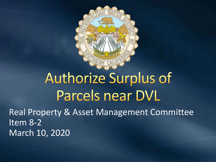

# **Authorize Surplus of** Parcels near DVL

Real Property & Asset Management Committee Item 8-2 March 10, 2020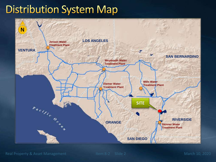# **Distribution System Map**



Real Property & Asset Management and Item 8-2 Slide 2 March 10, 2020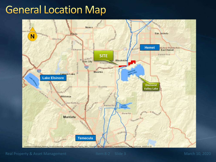### **General Location Map**



Real Property & Asset Management Inc. 2020 Item 8-2 Slide 3 March 10, 2020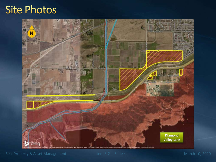### **Site Photos**



Real Property & Asset Management and Item 8-2 Slide 4 March 10, 2020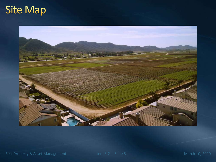# **Site Map**



Real Property & Asset Management and Item 8-2 Slide 5 March 10, 2020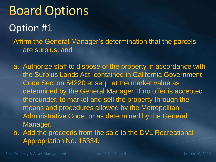**Board Options** Option #1 Affirm the General Manager's determination that the parcels are surplus; and

a. Authorize staff to dispose of the property in accordance with the Surplus Lands Act, contained in California Government Code Section 54220 et seq., at the market value as determined by the General Manager. If no offer is accepted thereunder, to market and sell the property through the means and procedures allowed by the Metropolitan Administrative Code, or as determined by the General Manager.

b. Add the proceeds from the sale to the DVL Recreational Appropriation No. 15334.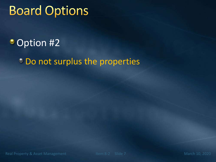# **Board Options**

#### • Option #2

**Do not surplus the properties**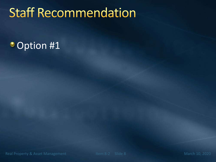# **Staff Recommendation**

#### • Option #1